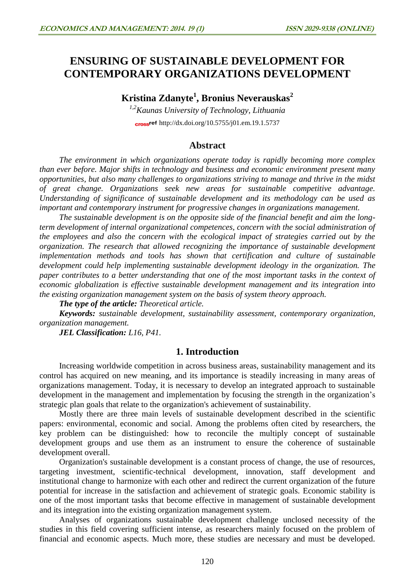# **ENSURING OF SUSTAINABLE DEVELOPMENT FOR CONTEMPORARY ORGANIZATIONS DEVELOPMENT**

**Kristina Zdanyte<sup>1</sup> , Bronius Neverauskas<sup>2</sup>**

*1,2Kaunas University of Technology, Lithuania* cross<sup>ref</sup> <http://dx.doi.org/10.5755/j01.em.19.1.5737>

# **Abstract**

*The environment in which organizations operate today is rapidly becoming more complex than ever before. Major shifts in technology and business and economic environment present many opportunities, but also many challenges to organizations striving to manage and thrive in the midst of great change. Organizations seek new areas for sustainable competitive advantage. Understanding of significance of sustainable development and its methodology can be used as important and contemporary instrument for progressive changes in organizations management.* 

*The sustainable development is on the opposite side of the financial benefit and aim the longterm development of internal organizational competences, concern with the social administration of the employees and also the concern with the ecological impact of strategies carried out by the organization. The research that allowed recognizing the importance of sustainable development implementation methods and tools has shown that certification and culture of sustainable development could help implementing sustainable development ideology in the organization. The paper contributes to a better understanding that one of the most important tasks in the context of economic globalization is effective sustainable development management and its integration into the existing organization management system on the basis of system theory approach.*

*The type of the article: Theoretical article.*

*Keywords: sustainable development, sustainability assessment, contemporary organization, organization management.*

*JEL Classification: L16, P41.*

### **1. Introduction**

Increasing worldwide competition in across business areas, sustainability management and its control has acquired on new meaning, and its importance is steadily increasing in many areas of organizations management. Today, it is necessary to develop an integrated approach to sustainable development in the management and implementation by focusing the strength in the organization's strategic plan goals that relate to the organization's achievement of sustainability.

Mostly there are three main levels of sustainable development described in the scientific papers: environmental, economic and social. Among the problems often cited by researchers, the key problem can be distinguished: how to reconcile the multiply concept of sustainable development groups and use them as an instrument to ensure the coherence of sustainable development overall.

Organization's sustainable development is a constant process of change, the use of resources, targeting investment, scientific-technical development, innovation, staff development and institutional change to harmonize with each other and redirect the current organization of the future potential for increase in the satisfaction and achievement of strategic goals. Economic stability is one of the most important tasks that become effective in management of sustainable development and its integration into the existing organization management system.

Analyses of organizations sustainable development challenge unclosed necessity of the studies in this field covering sufficient intense, as researchers mainly focused on the problem of financial and economic aspects. Much more, these studies are necessary and must be developed.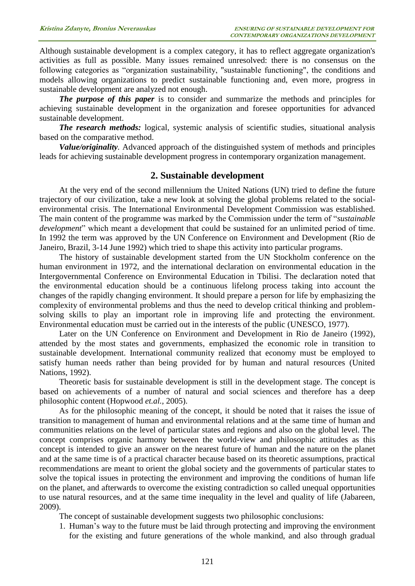Although sustainable development is a complex category, it has to reflect aggregate organization's activities as full as possible. Many issues remained unresolved: there is no consensus on the following categories as "organization sustainability, "sustainable functioning", the conditions and models allowing organizations to predict sustainable functioning and, even more, progress in sustainable development are analyzed not enough.

*The purpose of this paper* is to consider and summarize the methods and principles for achieving sustainable development in the organization and foresee opportunities for advanced sustainable development.

*The research methods:* logical, systemic analysis of scientific studies, situational analysis based on the comparative method.

*Value/originality.* Advanced approach of the distinguished system of methods and principles leads for achieving sustainable development progress in contemporary organization management.

### **2. Sustainable development**

At the very end of the second millennium the United Nations (UN) tried to define the future trajectory of our civilization, take a new look at solving the global problems related to the socialenvironmental crisis. The International Environmental Development Commission was established. The main content of the programme was marked by the Commission under the term of "*sustainable development*" which meant a development that could be sustained for an unlimited period of time. In 1992 the term was approved by the UN Conference on Environment and Development (Rio de Janeiro, Brazil, 3-14 June 1992) which tried to shape this activity into particular programs.

The history of sustainable development started from the UN Stockholm conference on the human environment in 1972, and the international declaration on environmental education in the Intergovernmental Conference on Environmental Education in Tbilisi. The declaration noted that the environmental education should be a continuous lifelong process taking into account the changes of the rapidly changing environment. It should prepare a person for life by emphasizing the complexity of environmental problems and thus the need to develop critical thinking and problemsolving skills to play an important role in improving life and protecting the environment. Environmental education must be carried out in the interests of the public (UNESCO, 1977).

Later on the UN Conference on Environment and Development in Rio de Janeiro (1992), attended by the most states and governments, emphasized the economic role in transition to sustainable development. International community realized that economy must be employed to satisfy human needs rather than being provided for by human and natural resources (United Nations, 1992).

Theoretic basis for sustainable development is still in the development stage. The concept is based on achievements of a number of natural and social sciences and therefore has a deep philosophic content (Hopwood *et.al.,* 2005).

As for the philosophic meaning of the concept, it should be noted that it raises the issue of transition to management of human and environmental relations and at the same time of human and communities relations on the level of particular states and regions and also on the global level. The concept comprises organic harmony between the world-view and philosophic attitudes as this concept is intended to give an answer on the nearest future of human and the nature on the planet and at the same time is of a practical character because based on its theoretic assumptions, practical recommendations are meant to orient the global society and the governments of particular states to solve the topical issues in protecting the environment and improving the conditions of human life on the planet, and afterwards to overcome the existing contradiction so called unequal opportunities to use natural resources, and at the same time inequality in the level and quality of life (Jabareen, 2009).

The concept of sustainable development suggests two philosophic conclusions:

1. Human's way to the future must be laid through protecting and improving the environment for the existing and future generations of the whole mankind, and also through gradual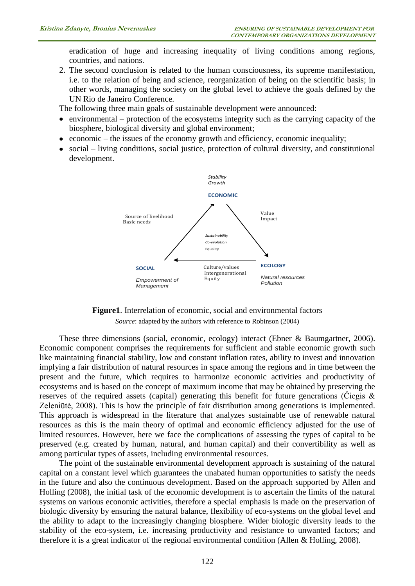eradication of huge and increasing inequality of living conditions among regions, countries, and nations.

2. The second conclusion is related to the human consciousness, its supreme manifestation, i.e. to the relation of being and science, reorganization of being on the scientific basis; in other words, managing the society on the global level to achieve the goals defined by the UN Rio de Janeiro Conference.

The following three main goals of sustainable development were announced:

- environmental protection of the ecosystems integrity such as the carrying capacity of the  $\bullet$ biosphere, biological diversity and global environment;
- economic the issues of the economy growth and efficiency, economic inequality;
- social living conditions, social justice, protection of cultural diversity, and constitutional development.





These three dimensions (social, economic, ecology) interact (Ebner & Baumgartner, 2006). Economic component comprises the requirements for sufficient and stable economic growth such like maintaining financial stability, low and constant inflation rates, ability to invest and innovation implying a fair distribution of natural resources in space among the regions and in time between the present and the future, which requires to harmonize economic activities and productivity of ecosystems and is based on the concept of maximum income that may be obtained by preserving the reserves of the required assets (capital) generating this benefit for future generations (Ciegis  $\&$ Zeleniūtė, 2008). This is how the principle of fair distribution among generations is implemented. This approach is widespread in the literature that analyzes sustainable use of renewable natural resources as this is the main theory of optimal and economic efficiency adjusted for the use of limited resources. However, here we face the complications of assessing the types of capital to be preserved (e.g. created by human, natural, and human capital) and their convertibility as well as among particular types of assets, including environmental resources.

The point of the sustainable environmental development approach is sustaining of the natural capital on a constant level which guarantees the unabated human opportunities to satisfy the needs in the future and also the continuous development. Based on the approach supported by Allen and Holling (2008), the initial task of the economic development is to ascertain the limits of the natural systems on various economic activities, therefore a special emphasis is made on the preservation of biologic diversity by ensuring the natural balance, flexibility of eco-systems on the global level and the ability to adapt to the increasingly changing biosphere. Wider biologic diversity leads to the stability of the eco-system, i.e. increasing productivity and resistance to unwanted factors; and therefore it is a great indicator of the regional environmental condition (Allen & Holling, 2008).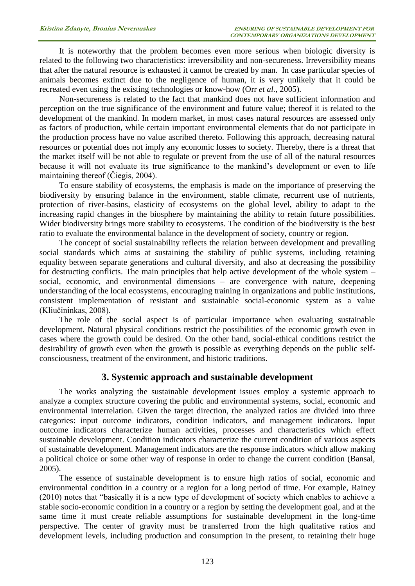It is noteworthy that the problem becomes even more serious when biologic diversity is related to the following two characteristics: irreversibility and non-secureness. Irreversibility means that after the natural resource is exhausted it cannot be created by man. In case particular species of animals becomes extinct due to the negligence of human, it is very unlikely that it could be recreated even using the existing technologies or know-how (Orr *et al.,* 2005).

Non-secureness is related to the fact that mankind does not have sufficient information and perception on the true significance of the environment and future value; thereof it is related to the development of the mankind. In modern market, in most cases natural resources are assessed only as factors of production, while certain important environmental elements that do not participate in the production process have no value ascribed thereto. Following this approach, decreasing natural resources or potential does not imply any economic losses to society. Thereby, there is a threat that the market itself will be not able to regulate or prevent from the use of all of the natural resources because it will not evaluate its true significance to the mankind's development or even to life maintaining thereof (Čiegis, 2004).

To ensure stability of ecosystems, the emphasis is made on the importance of preserving the biodiversity by ensuring balance in the environment, stable climate, recurrent use of nutrients, protection of river-basins, elasticity of ecosystems on the global level, ability to adapt to the increasing rapid changes in the biosphere by maintaining the ability to retain future possibilities. Wider biodiversity brings more stability to ecosystems. The condition of the biodiversity is the best ratio to evaluate the environmental balance in the development of society, country or region.

The concept of social sustainability reflects the relation between development and prevailing social standards which aims at sustaining the stability of public systems, including retaining equality between separate generations and cultural diversity, and also at decreasing the possibility for destructing conflicts. The main principles that help active development of the whole system – social, economic, and environmental dimensions – are convergence with nature, deepening understanding of the local ecosystems, encouraging training in organizations and public institutions, consistent implementation of resistant and sustainable social-economic system as a value (Kliučininkas, 2008).

The role of the social aspect is of particular importance when evaluating sustainable development. Natural physical conditions restrict the possibilities of the economic growth even in cases where the growth could be desired. On the other hand, social-ethical conditions restrict the desirability of growth even when the growth is possible as everything depends on the public selfconsciousness, treatment of the environment, and historic traditions.

# **3. Systemic approach and sustainable development**

The works analyzing the sustainable development issues employ a systemic approach to analyze a complex structure covering the public and environmental systems, social, economic and environmental interrelation. Given the target direction, the analyzed ratios are divided into three categories: input outcome indicators, condition indicators, and management indicators. Input outcome indicators characterize human activities, processes and characteristics which effect sustainable development. Condition indicators characterize the current condition of various aspects of sustainable development. Management indicators are the response indicators which allow making a political choice or some other way of response in order to change the current condition (Bansal, 2005).

The essence of sustainable development is to ensure high ratios of social, economic and environmental condition in a country or a region for a long period of time. For example, Rainey (2010) notes that "basically it is a new type of development of society which enables to achieve a stable socio-economic condition in a country or a region by setting the development goal, and at the same time it must create reliable assumptions for sustainable development in the long-time perspective. The center of gravity must be transferred from the high qualitative ratios and development levels, including production and consumption in the present, to retaining their huge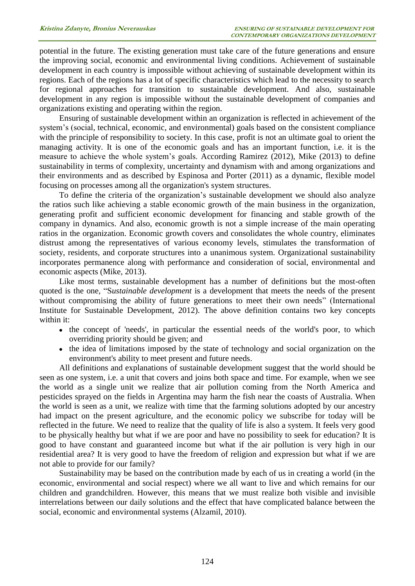potential in the future. The existing generation must take care of the future generations and ensure the improving social, economic and environmental living conditions. Achievement of sustainable development in each country is impossible without achieving of sustainable development within its regions. Each of the regions has a lot of specific characteristics which lead to the necessity to search for regional approaches for transition to sustainable development. And also, sustainable development in any region is impossible without the sustainable development of companies and organizations existing and operating within the region.

Ensuring of sustainable development within an organization is reflected in achievement of the system's (social, technical, economic, and environmental) goals based on the consistent compliance with the principle of responsibility to society. In this case, profit is not an ultimate goal to orient the managing activity. It is one of the economic goals and has an important function, i.e. it is the measure to achieve the whole system's goals. According Ramirez (2012), Mike (2013) to define sustainability in terms of complexity, uncertainty and dynamism with and among organizations and their environments and as described by Espinosa and Porter (2011) as a dynamic, flexible model focusing on processes among all the organization's system structures.

To define the criteria of the organization's sustainable development we should also analyze the ratios such like achieving a stable economic growth of the main business in the organization, generating profit and sufficient economic development for financing and stable growth of the company in dynamics. And also, economic growth is not a simple increase of the main operating ratios in the organization. Economic growth covers and consolidates the whole country, eliminates distrust among the representatives of various economy levels, stimulates the transformation of society, residents, and corporate structures into a unanimous system. Organizational sustainability incorporates permanence along with performance and consideration of social, environmental and economic aspects (Mike, 2013).

Like most terms, sustainable development has a number of definitions but the most-often quoted is the one, "S*ustainable development* is a development that meets the needs of the present without compromising the ability of future generations to meet their own needs" (International Institute for Sustainable Development, 2012). The above definition contains two key concepts within it:

- the concept of 'needs', in particular the essential needs of the world's poor, to which overriding priority should be given; and
- the idea of limitations imposed by the state of technology and social organization on the environment's ability to meet present and future needs.

All definitions and explanations of sustainable development suggest that the world should be seen as one system, i.e. a unit that covers and joins both space and time. For example, when we see the world as a single unit we realize that air pollution coming from the North America and pesticides sprayed on the fields in Argentina may harm the fish near the coasts of Australia. When the world is seen as a unit, we realize with time that the farming solutions adopted by our ancestry had impact on the present agriculture, and the economic policy we subscribe for today will be reflected in the future. We need to realize that the quality of life is also a system. It feels very good to be physically healthy but what if we are poor and have no possibility to seek for education? It is good to have constant and guaranteed income but what if the air pollution is very high in our residential area? It is very good to have the freedom of religion and expression but what if we are not able to provide for our family?

Sustainability may be based on the contribution made by each of us in creating a world (in the economic, environmental and social respect) where we all want to live and which remains for our children and grandchildren. However, this means that we must realize both visible and invisible interrelations between our daily solutions and the effect that have complicated balance between the social, economic and environmental systems (Alzamil, 2010).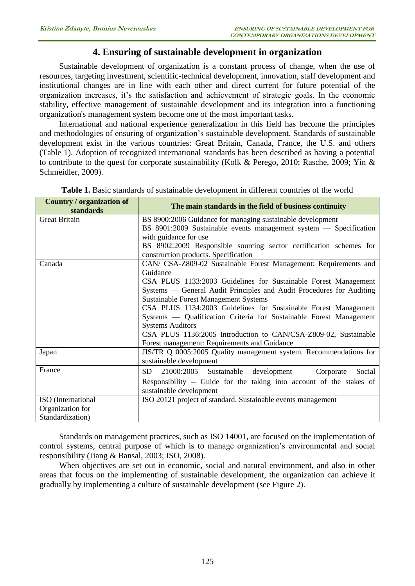# **4. Ensuring of sustainable development in organization**

Sustainable development of organization is a constant process of change, when the use of resources, targeting investment, scientific-technical development, innovation, staff development and institutional changes are in line with each other and direct current for future potential of the organization increases, it's the satisfaction and achievement of strategic goals. In the economic stability, effective management of sustainable development and its integration into a functioning organization's management system become one of the most important tasks.

International and national experience generalization in this field has become the principles and methodologies of ensuring of organization's sustainable development. Standards of sustainable development exist in the various countries: Great Britain, Canada, France, the U.S. and others (Table 1). Adoption of recognized international standards has been described as having a potential to contribute to the quest for corporate sustainability (Kolk & Perego, 2010; Rasche, 2009; Yin & Schmeidler, 2009).

| Country / organization of<br>standards | The main standards in the field of business continuity                |
|----------------------------------------|-----------------------------------------------------------------------|
| <b>Great Britain</b>                   | BS 8900:2006 Guidance for managing sustainable development            |
|                                        | BS $8901:2009$ Sustainable events management system $-$ Specification |
|                                        | with guidance for use                                                 |
|                                        | BS 8902:2009 Responsible sourcing sector certification schemes for    |
|                                        | construction products. Specification                                  |
| Canada                                 | CAN/ CSA-Z809-02 Sustainable Forest Management: Requirements and      |
|                                        | Guidance                                                              |
|                                        | CSA PLUS 1133:2003 Guidelines for Sustainable Forest Management       |
|                                        | Systems — General Audit Principles and Audit Procedures for Auditing  |
|                                        | <b>Sustainable Forest Management Systems</b>                          |
|                                        | CSA PLUS 1134:2003 Guidelines for Sustainable Forest Management       |
|                                        | Systems — Qualification Criteria for Sustainable Forest Management    |
|                                        | <b>Systems Auditors</b>                                               |
|                                        | CSA PLUS 1136:2005 Introduction to CAN/CSA-Z809-02, Sustainable       |
|                                        | Forest management: Requirements and Guidance                          |
| Japan                                  | JIS/TR Q 0005:2005 Quality management system. Recommendations for     |
|                                        | sustainable development                                               |
| France                                 | 21000:2005 Sustainable development<br>SD -<br>Corporate<br>Social     |
|                                        | Responsibility $-$ Guide for the taking into account of the stakes of |
|                                        | sustainable development                                               |
| ISO (International                     | ISO 20121 project of standard. Sustainable events management          |
| Organization for                       |                                                                       |
| Standardization)                       |                                                                       |

**Table 1.** Basic standards of sustainable development in different countries of the world

Standards on management practices, such as ISO 14001, are focused on the implementation of control systems, central purpose of which is to manage organization's environmental and social responsibility (Jiang & Bansal, 2003; ISO, 2008).

When objectives are set out in economic, social and natural environment, and also in other areas that focus on the implementing of sustainable development, the organization can achieve it gradually by implementing a culture of sustainable development (see Figure 2).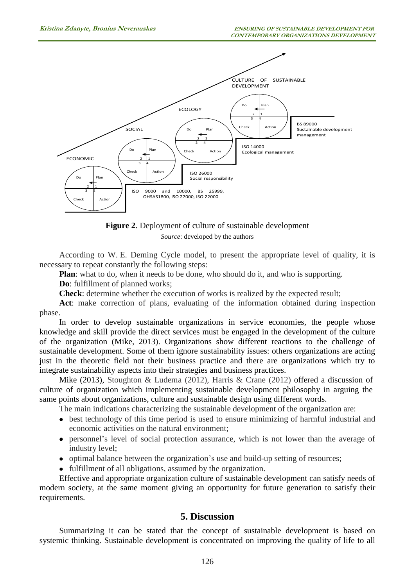

**Figure 2**. Deployment of culture of sustainable development *Source*: developed by the authors

According to W. E. Deming Cycle model, to present the appropriate level of quality, it is necessary to repeat constantly the following steps:

**Plan**: what to do, when it needs to be done, who should do it, and who is supporting.

**Do**: fulfillment of planned works;

**Check**: determine whether the execution of works is realized by the expected result;

Act: make correction of plans, evaluating of the information obtained during inspection phase.

In order to develop sustainable organizations in service economies, the people whose knowledge and skill provide the direct services must be engaged in the development of the culture of the organization (Mike, 2013). Organizations show different reactions to the challenge of sustainable development. Some of them ignore sustainability issues: others organizations are acting just in the theoretic field not their business practice and there are organizations which try to integrate sustainability aspects into their strategies and business practices.

Mike (2013), Stoughton & Ludema (2012), Harris & Crane (2012) offered a discussion of culture of organization which implementing sustainable development philosophy in arguing the same points about organizations, culture and sustainable design using different words.

The main indications characterizing the sustainable development of the organization are:

- best technology of this time period is used to ensure minimizing of harmful industrial and economic activities on the natural environment;
- personnel's level of social protection assurance, which is not lower than the average of industry level;
- optimal balance between the organization's use and build-up setting of resources;
- fulfillment of all obligations, assumed by the organization.

Effective and appropriate organization culture of sustainable development can satisfy needs of modern society, at the same moment giving an opportunity for future generation to satisfy their requirements.

### **5. Discussion**

Summarizing it can be stated that the concept of sustainable development is based on systemic thinking. Sustainable development is concentrated on improving the quality of life to all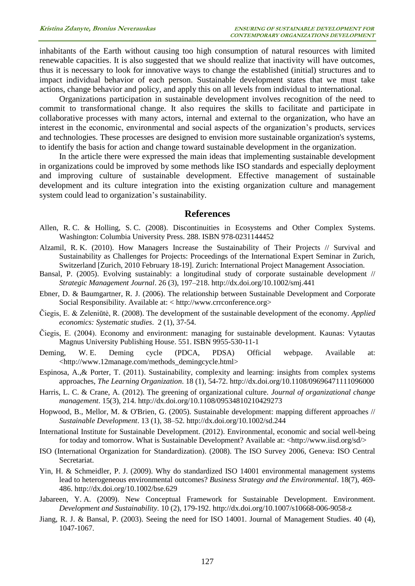inhabitants of the Earth without causing too high consumption of natural resources with limited renewable capacities. It is also suggested that we should realize that inactivity will have outcomes, thus it is necessary to look for innovative ways to change the established (initial) structures and to impact individual behavior of each person. Sustainable development states that we must take actions, change behavior and policy, and apply this on all levels from individual to international.

Organizations participation in sustainable development involves recognition of the need to commit to transformational change. It also requires the skills to facilitate and participate in collaborative processes with many actors, internal and external to the organization, who have an interest in the economic, environmental and social aspects of the organization's products, services and technologies. These processes are designed to envision more sustainable organization's systems, to identify the basis for action and change toward sustainable development in the organization.

In the article there were expressed the main ideas that implementing sustainable development in organizations could be improved by some methods like ISO standards and especially deployment and improving culture of sustainable development. Effective management of sustainable development and its culture integration into the existing organization culture and management system could lead to organization's sustainability.

#### **References**

- Allen, R. C. & Holling, S. C. (2008). Discontinuities in Ecosystems and Other Complex Systems. Washington: Columbia University Press. 288. ISBN 978-0231144452
- Alzamil, R. K. (2010). How Managers Increase the Sustainability of Their Projects // Survival and Sustainability as Challenges for Projects: Proceedings of the International Expert Seminar in Zurich, Switzerland [Zurich, 2010 February 18-19]. Zurich: International Project Management Association.
- Bansal, P. (2005). Evolving sustainably: a longitudinal study of corporate sustainable development // *Strategic Management Journal*. 26 (3), 197–218. <http://dx.doi.org/10.1002/smj.441>
- Ebner, D. & Baumgartner, R. J. (2006). The relationship between Sustainable Development and Corporate Social Responsibility. Available at: < http://www.crrconference.org>
- Čiegis, E. & Zeleniūtė, R. (2008). The development of the sustainable development of the economy. *Applied economics: Systematic studies*. 2 (1), 37-54.
- Čiegis, E. (2004). Economy and environment: managing for sustainable development. Kaunas: Vytautas Magnus University Publishing House. 551. ISBN 9955-530-11-1
- Deming, W. E. Deming cycle (PDCA, PDSA) Official webpage. Available at: [<http://www.12manage.com/methods\\_demingcycle.html>](http://www.12manage.com/methods_demingcycle.html)
- Espinosa, A.,& Porter, T. (2011). Sustainability, complexity and learning: insights from complex systems approaches, *The Learning Organization*. 18 (1), 54-72. <http://dx.doi.org/10.1108/09696471111096000>
- Harris, L. C. & Crane, A. (2012). The greening of organizational culture. *Journal of organizational change management*. 15(3), 214. <http://dx.doi.org/10.1108/09534810210429273>
- Hopwood, B., Mellor, M. & O'Brien, G. (2005). Sustainable development: mapping different approaches // *Sustainable Development*. 13 (1), 38–52. <http://dx.doi.org/10.1002/sd.244>
- International Institute for Sustainable Development. (2012). Environmental, economic and social well-being for today and tomorrow. What is Sustainable Development? Available at: [<http://www.iisd.org/sd/>](http://www.iisd.org/sd/)
- ISO (International Organization for Standardization). (2008). The ISO Survey 2006, Geneva: ISO Central Secretariat.
- Yin, H. & Schmeidler, P. J. (2009). Why do standardized ISO 14001 environmental management systems lead to heterogeneous environmental outcomes? *Business Strategy and the Environmental*. 18(7), 469- 486. <http://dx.doi.org/10.1002/bse.629>
- Jabareen, Y. A. (2009). New Conceptual Framework for Sustainable Development. Environment. *Development and Sustainability*. 10 (2), 179-192. <http://dx.doi.org/10.1007/s10668-006-9058-z>
- Jiang, R. J. & Bansal, P. (2003). Seeing the need for ISO 14001. Journal of Management Studies. 40 (4), 1047-1067.